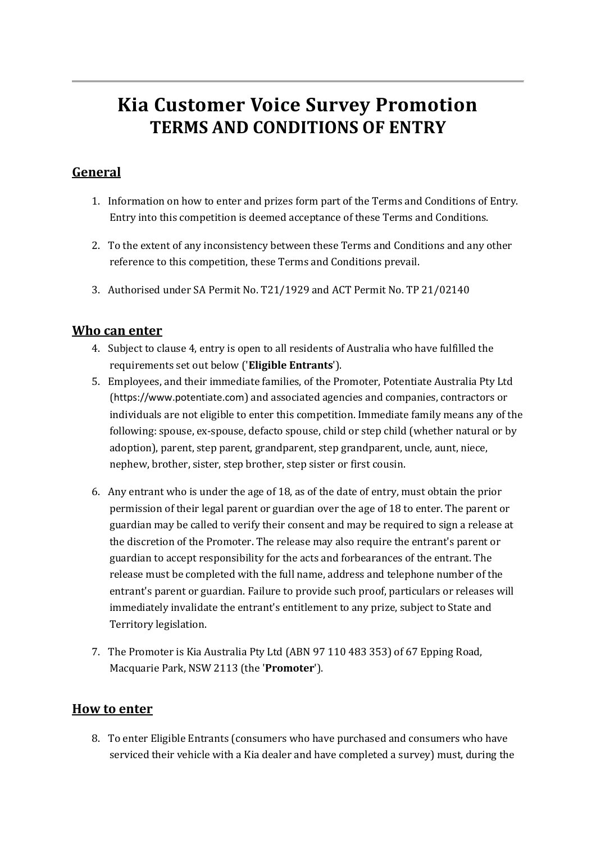# **Kia Customer Voice Survey Promotion TERMS AND CONDITIONS OF ENTRY**

# **General**

- 1. Information on how to enter and prizes form part of the Terms and Conditions of Entry. Entry into this competition is deemed acceptance of these Terms and Conditions.
- 2. To the extent of any inconsistency between these Terms and Conditions and any other reference to this competition, these Terms and Conditions prevail.
- 3. Authorised under SA Permit No. T21/1929 and ACT Permit No. TP 21/02140

## **Who can enter**

- 4. Subject to clause 4, entry is open to all residents of Australia who have fulfilled the requirements set out below ('**Eligible Entrants**').
- 5. Employees, and their immediate families, of the Promoter, Potentiate Australia Pty Ltd ([https://www.potentiate.com](https://www.potentiate.com/)) and associated agencies and companies, contractors or individuals are not eligible to enter this competition. Immediate family means any of the following: spouse, ex-spouse, defacto spouse, child or step child (whether natural or by adoption), parent, step parent, grandparent, step grandparent, uncle, aunt, niece, nephew, brother, sister, step brother, step sister or first cousin.
- 6. Any entrant who is under the age of 18, as of the date of entry, must obtain the prior permission of their legal parent or guardian over the age of 18 to enter. The parent or guardian may be called to verify their consent and may be required to sign a release at the discretion of the Promoter. The release may also require the entrant's parent or guardian to accept responsibility for the acts and forbearances of the entrant. The release must be completed with the full name, address and telephone number of the entrant's parent or guardian. Failure to provide such proof, particulars or releases will immediately invalidate the entrant's entitlement to any prize, subject to State and Territory legislation.
- 7. The Promoter is Kia Australia Pty Ltd (ABN 97 110 483 353) of 67 Epping Road, Macquarie Park, NSW 2113 (the '**Promoter**').

## **How to enter**

8. To enter Eligible Entrants (consumers who have purchased and consumers who have serviced their vehicle with a Kia dealer and have completed a survey) must, during the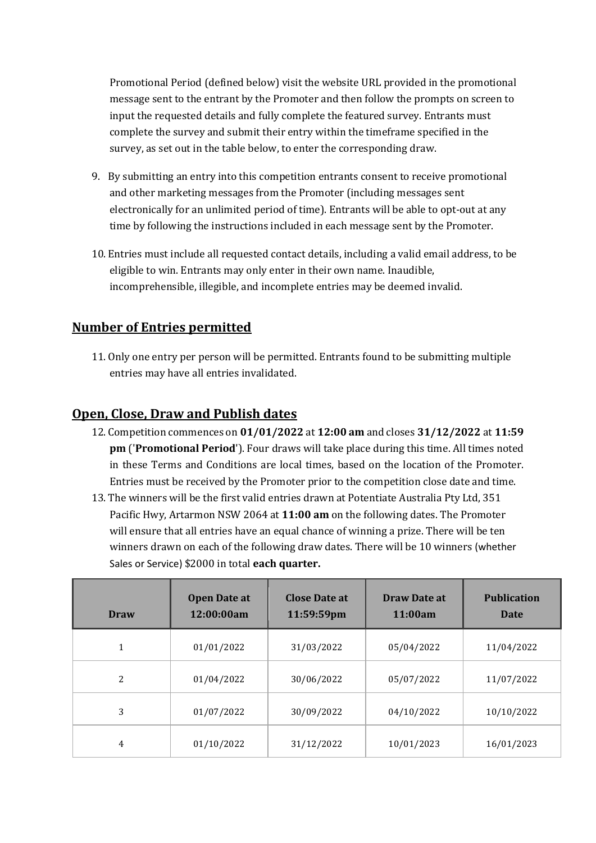Promotional Period (defined below) visit the website URL provided in the promotional message sent to the entrant by the Promoter and then follow the prompts on screen to input the requested details and fully complete the featured survey. Entrants must complete the survey and submit their entry within the timeframe specified in the survey, as set out in the table below, to enter the corresponding draw.

- 9. By submitting an entry into this competition entrants consent to receive promotional and other marketing messages from the Promoter (including messages sent electronically for an unlimited period of time). Entrants will be able to opt-out at any time by following the instructions included in each message sent by the Promoter.
- 10. Entries must include all requested contact details, including a valid email address, to be eligible to win. Entrants may only enter in their own name. Inaudible, incomprehensible, illegible, and incomplete entries may be deemed invalid.

# **Number of Entries permitted**

11. Only one entry per person will be permitted. Entrants found to be submitting multiple entries may have all entries invalidated.

# **Open, Close, Draw and Publish dates**

- 12. Competition commences on **01/01/2022** at **12:00 am** and closes **31/12/2022** at **11:59 pm** ('**Promotional Period**'). Four draws will take place during this time. All times noted in these Terms and Conditions are local times, based on the location of the Promoter. Entries must be received by the Promoter prior to the competition close date and time.
- 13. The winners will be the first valid entries drawn at Potentiate Australia Pty Ltd, 351 Pacific Hwy, Artarmon NSW 2064 at **11:00 am** on the following dates. The Promoter will ensure that all entries have an equal chance of winning a prize. There will be ten winners drawn on each of the following draw dates. There will be 10 winners (whether Sales or Service) \$2000 in total **each quarter.**

| Draw           | <b>Open Date at</b><br>12:00:00am | <b>Close Date at</b><br>11:59:59pm | Draw Date at<br>11:00am | <b>Publication</b><br><b>Date</b> |
|----------------|-----------------------------------|------------------------------------|-------------------------|-----------------------------------|
| 1              | 01/01/2022                        | 31/03/2022                         | 05/04/2022              | 11/04/2022                        |
| 2              | 01/04/2022                        | 30/06/2022                         | 05/07/2022              | 11/07/2022                        |
| 3              | 01/07/2022                        | 30/09/2022                         | 04/10/2022              | 10/10/2022                        |
| $\overline{4}$ | 01/10/2022                        | 31/12/2022                         | 10/01/2023              | 16/01/2023                        |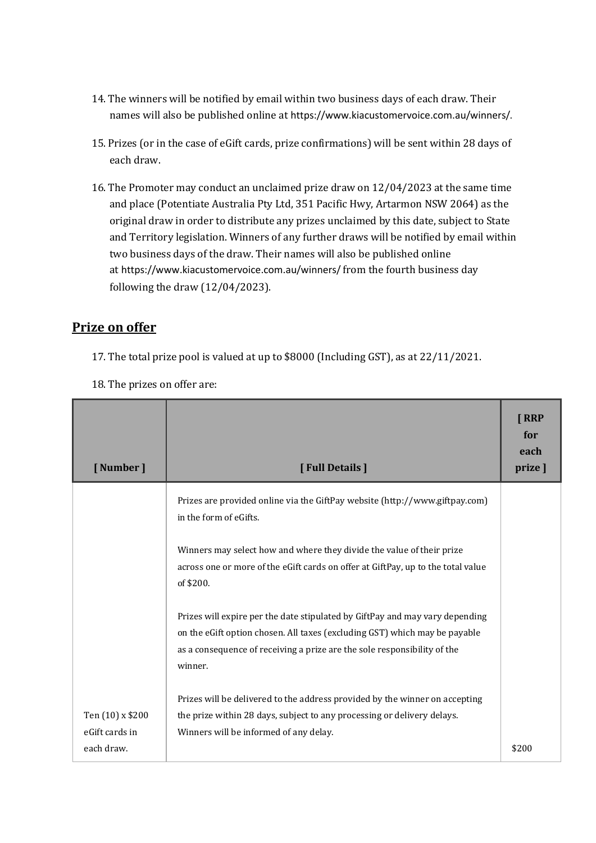- 14. The winners will be notified by email within two business days of each draw. Their names will also be published online at https://www.kiacustomervoice.com.au/winners/.
- 15. Prizes (or in the case of eGift cards, prize confirmations) will be sent within 28 days of each draw.
- 16. The Promoter may conduct an unclaimed prize draw on 12/04/2023 at the same time and place (Potentiate Australia Pty Ltd, 351 Pacific Hwy, Artarmon NSW 2064) as the original draw in order to distribute any prizes unclaimed by this date, subject to State and Territory legislation. Winners of any further draws will be notified by email within two business days of the draw. Their names will also be published online at https://www.kiacustomervoice.com.au/winners/ from the fourth business day following the draw (12/04/2023).

## **Prize on offer**

ľ

17. The total prize pool is valued at up to \$8000 (Including GST), as at 22/11/2021.

| <b>[ Number ]</b>                                | [Full Details]                                                                                                                                                                                                                                    | <b>TRRP</b><br>for<br>each<br>prize ] |
|--------------------------------------------------|---------------------------------------------------------------------------------------------------------------------------------------------------------------------------------------------------------------------------------------------------|---------------------------------------|
|                                                  | Prizes are provided online via the GiftPay website (http://www.giftpay.com)<br>in the form of eGifts.                                                                                                                                             |                                       |
|                                                  | Winners may select how and where they divide the value of their prize<br>across one or more of the eGift cards on offer at GiftPay, up to the total value<br>of \$200.                                                                            |                                       |
|                                                  | Prizes will expire per the date stipulated by GiftPay and may vary depending<br>on the eGift option chosen. All taxes (excluding GST) which may be payable<br>as a consequence of receiving a prize are the sole responsibility of the<br>winner. |                                       |
| Ten (10) x \$200<br>eGift cards in<br>each draw. | Prizes will be delivered to the address provided by the winner on accepting<br>the prize within 28 days, subject to any processing or delivery delays.<br>Winners will be informed of any delay.                                                  | \$200                                 |

18. The prizes on offer are: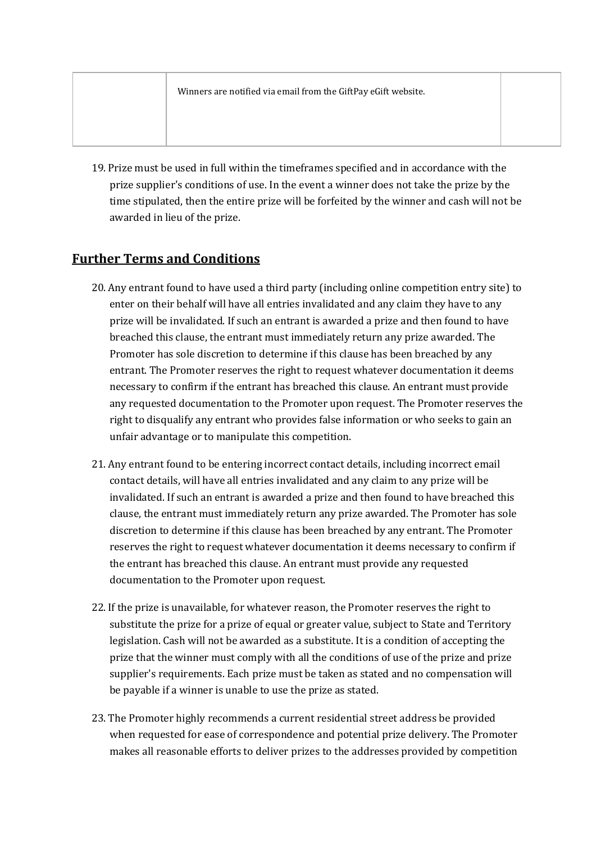19. Prize must be used in full within the timeframes specified and in accordance with the prize supplier's conditions of use. In the event a winner does not take the prize by the time stipulated, then the entire prize will be forfeited by the winner and cash will not be awarded in lieu of the prize.

# **Further Terms and Conditions**

- 20. Any entrant found to have used a third party (including online competition entry site) to enter on their behalf will have all entries invalidated and any claim they have to any prize will be invalidated. If such an entrant is awarded a prize and then found to have breached this clause, the entrant must immediately return any prize awarded. The Promoter has sole discretion to determine if this clause has been breached by any entrant. The Promoter reserves the right to request whatever documentation it deems necessary to confirm if the entrant has breached this clause. An entrant must provide any requested documentation to the Promoter upon request. The Promoter reserves the right to disqualify any entrant who provides false information or who seeks to gain an unfair advantage or to manipulate this competition.
- 21. Any entrant found to be entering incorrect contact details, including incorrect email contact details, will have all entries invalidated and any claim to any prize will be invalidated. If such an entrant is awarded a prize and then found to have breached this clause, the entrant must immediately return any prize awarded. The Promoter has sole discretion to determine if this clause has been breached by any entrant. The Promoter reserves the right to request whatever documentation it deems necessary to confirm if the entrant has breached this clause. An entrant must provide any requested documentation to the Promoter upon request.
- 22. If the prize is unavailable, for whatever reason, the Promoter reserves the right to substitute the prize for a prize of equal or greater value, subject to State and Territory legislation. Cash will not be awarded as a substitute. It is a condition of accepting the prize that the winner must comply with all the conditions of use of the prize and prize supplier's requirements. Each prize must be taken as stated and no compensation will be payable if a winner is unable to use the prize as stated.
- 23. The Promoter highly recommends a current residential street address be provided when requested for ease of correspondence and potential prize delivery. The Promoter makes all reasonable efforts to deliver prizes to the addresses provided by competition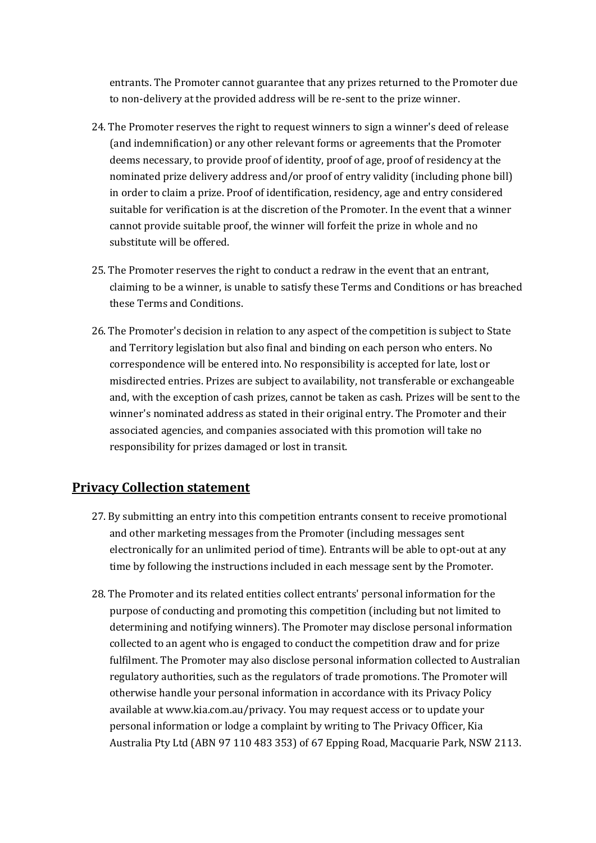entrants. The Promoter cannot guarantee that any prizes returned to the Promoter due to non-delivery at the provided address will be re-sent to the prize winner.

- 24. The Promoter reserves the right to request winners to sign a winner's deed of release (and indemnification) or any other relevant forms or agreements that the Promoter deems necessary, to provide proof of identity, proof of age, proof of residency at the nominated prize delivery address and/or proof of entry validity (including phone bill) in order to claim a prize. Proof of identification, residency, age and entry considered suitable for verification is at the discretion of the Promoter. In the event that a winner cannot provide suitable proof, the winner will forfeit the prize in whole and no substitute will be offered.
- 25. The Promoter reserves the right to conduct a redraw in the event that an entrant, claiming to be a winner, is unable to satisfy these Terms and Conditions or has breached these Terms and Conditions.
- 26. The Promoter's decision in relation to any aspect of the competition is subject to State and Territory legislation but also final and binding on each person who enters. No correspondence will be entered into. No responsibility is accepted for late, lost or misdirected entries. Prizes are subject to availability, not transferable or exchangeable and, with the exception of cash prizes, cannot be taken as cash. Prizes will be sent to the winner's nominated address as stated in their original entry. The Promoter and their associated agencies, and companies associated with this promotion will take no responsibility for prizes damaged or lost in transit.

## **Privacy Collection statement**

- 27. By submitting an entry into this competition entrants consent to receive promotional and other marketing messages from the Promoter (including messages sent electronically for an unlimited period of time). Entrants will be able to opt-out at any time by following the instructions included in each message sent by the Promoter.
- 28. The Promoter and its related entities collect entrants' personal information for the purpose of conducting and promoting this competition (including but not limited to determining and notifying winners). The Promoter may disclose personal information collected to an agent who is engaged to conduct the competition draw and for prize fulfilment. The Promoter may also disclose personal information collected to Australian regulatory authorities, such as the regulators of trade promotions. The Promoter will otherwise handle your personal information in accordance with its Privacy Policy available at www.kia.com.au/privacy. You may request access or to update your personal information or lodge a complaint by writing to The Privacy Officer, Kia Australia Pty Ltd (ABN 97 110 483 353) of 67 Epping Road, Macquarie Park, NSW 2113.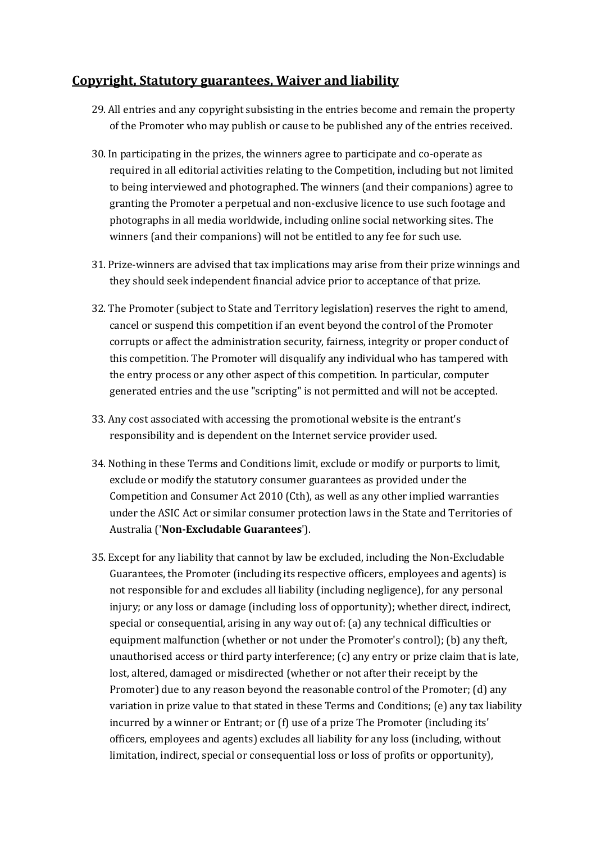## **Copyright, Statutory guarantees, Waiver and liability**

- 29. All entries and any copyright subsisting in the entries become and remain the property of the Promoter who may publish or cause to be published any of the entries received.
- 30. In participating in the prizes, the winners agree to participate and co-operate as required in all editorial activities relating to the Competition, including but not limited to being interviewed and photographed. The winners (and their companions) agree to granting the Promoter a perpetual and non-exclusive licence to use such footage and photographs in all media worldwide, including online social networking sites. The winners (and their companions) will not be entitled to any fee for such use.
- 31. Prize-winners are advised that tax implications may arise from their prize winnings and they should seek independent financial advice prior to acceptance of that prize.
- 32. The Promoter (subject to State and Territory legislation) reserves the right to amend, cancel or suspend this competition if an event beyond the control of the Promoter corrupts or affect the administration security, fairness, integrity or proper conduct of this competition. The Promoter will disqualify any individual who has tampered with the entry process or any other aspect of this competition. In particular, computer generated entries and the use "scripting" is not permitted and will not be accepted.
- 33. Any cost associated with accessing the promotional website is the entrant's responsibility and is dependent on the Internet service provider used.
- 34. Nothing in these Terms and Conditions limit, exclude or modify or purports to limit, exclude or modify the statutory consumer guarantees as provided under the Competition and Consumer Act 2010 (Cth), as well as any other implied warranties under the ASIC Act or similar consumer protection laws in the State and Territories of Australia ('**Non-Excludable Guarantees**').
- 35. Except for any liability that cannot by law be excluded, including the Non-Excludable Guarantees, the Promoter (including its respective officers, employees and agents) is not responsible for and excludes all liability (including negligence), for any personal injury; or any loss or damage (including loss of opportunity); whether direct, indirect, special or consequential, arising in any way out of: (a) any technical difficulties or equipment malfunction (whether or not under the Promoter's control); (b) any theft, unauthorised access or third party interference; (c) any entry or prize claim that is late, lost, altered, damaged or misdirected (whether or not after their receipt by the Promoter) due to any reason beyond the reasonable control of the Promoter; (d) any variation in prize value to that stated in these Terms and Conditions; (e) any tax liability incurred by a winner or Entrant; or (f) use of a prize The Promoter (including its' officers, employees and agents) excludes all liability for any loss (including, without limitation, indirect, special or consequential loss or loss of profits or opportunity),